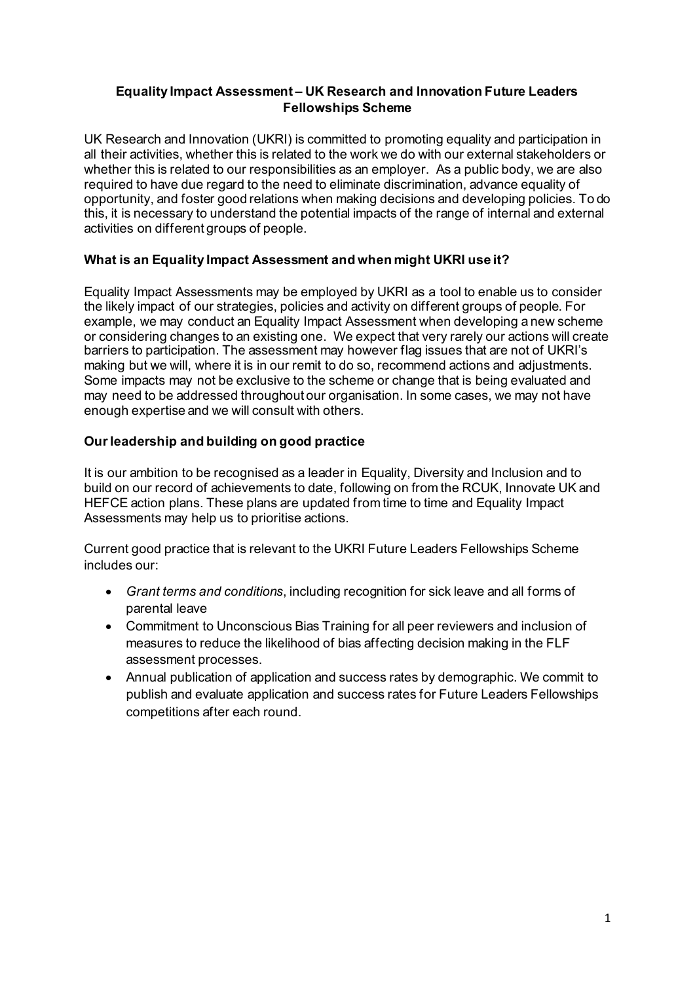## **Equality Impact Assessment – UK Research and Innovation Future Leaders Fellowships Scheme**

UK Research and Innovation (UKRI) is committed to promoting equality and participation in all their activities, whether this is related to the work we do with our external stakeholders or whether this is related to our responsibilities as an employer. As a public body, we are also required to have due regard to the need to eliminate discrimination, advance equality of opportunity, and foster good relations when making decisions and developing policies. To do this, it is necessary to understand the potential impacts of the range of internal and external activities on different groups of people.

## **What is an Equality Impact Assessment and when might UKRI use it?**

Equality Impact Assessments may be employed by UKRI as a tool to enable us to consider the likely impact of our strategies, policies and activity on different groups of people. For example, we may conduct an Equality Impact Assessment when developing a new scheme or considering changes to an existing one. We expect that very rarely our actions will create barriers to participation. The assessment may however flag issues that are not of UKRI's making but we will, where it is in our remit to do so, recommend actions and adjustments. Some impacts may not be exclusive to the scheme or change that is being evaluated and may need to be addressed throughout our organisation. In some cases, we may not have enough expertise and we will consult with others.

## **Our leadership and building on good practice**

It is our ambition to be recognised as a leader in Equality, Diversity and Inclusion and to build on our record of achievements to date, following on from the RCUK, Innovate UK and HEFCE action plans. These plans are updated from time to time and Equality Impact Assessments may help us to prioritise actions.

Current good practice that is relevant to the UKRI Future Leaders Fellowships Scheme includes our:

- *[Grant terms and conditions](https://www.ukri.org/funding/information-for-award-holders/grant-terms-and-conditions/Peer%20Review%20Framework)*, including recognition for sick leave and all forms of parental leave
- Commitment to Unconscious Bias Training for all peer reviewers and inclusion of measures to reduce the likelihood of bias affecting decision making in the FLF assessment processes.
- Annual publication of application and success rates by demographic. We commit to publish and evaluate application and success rates for Future Leaders Fellowships competitions after each round.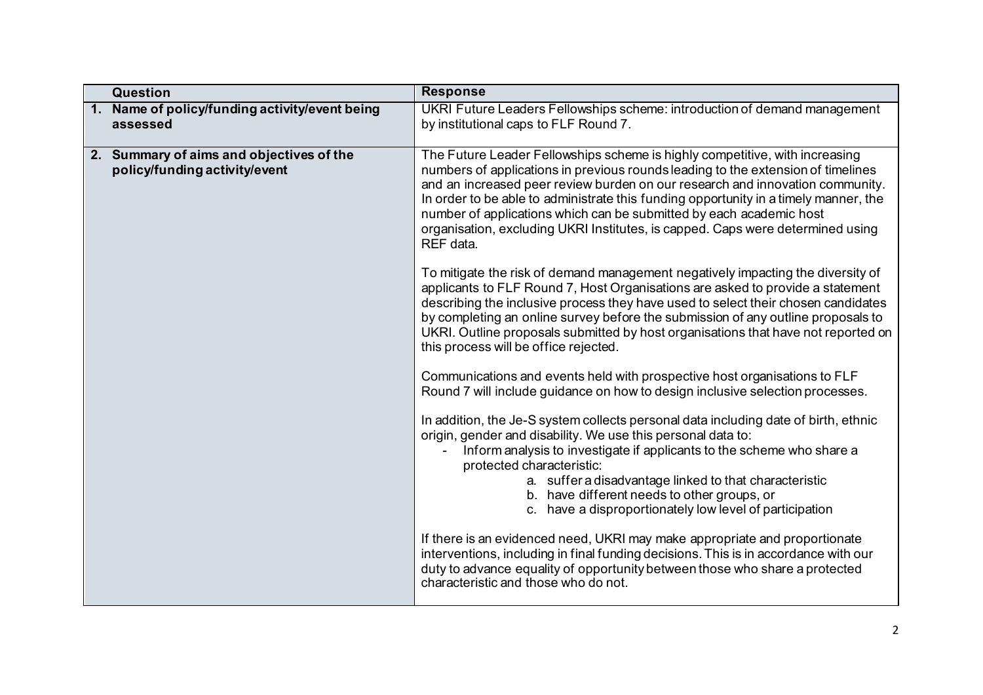| <b>Question</b>                                                              | <b>Response</b>                                                                                                                                                                                                                                                                                                                                                                                                                                                                                                |  |
|------------------------------------------------------------------------------|----------------------------------------------------------------------------------------------------------------------------------------------------------------------------------------------------------------------------------------------------------------------------------------------------------------------------------------------------------------------------------------------------------------------------------------------------------------------------------------------------------------|--|
| 1. Name of policy/funding activity/event being<br>assessed                   | UKRI Future Leaders Fellowships scheme: introduction of demand management<br>by institutional caps to FLF Round 7.                                                                                                                                                                                                                                                                                                                                                                                             |  |
| Summary of aims and objectives of the<br>2.<br>policy/funding activity/event | The Future Leader Fellowships scheme is highly competitive, with increasing<br>numbers of applications in previous rounds leading to the extension of timelines<br>and an increased peer review burden on our research and innovation community.<br>In order to be able to administrate this funding opportunity in a timely manner, the<br>number of applications which can be submitted by each academic host<br>organisation, excluding UKRI Institutes, is capped. Caps were determined using<br>REF data. |  |
|                                                                              | To mitigate the risk of demand management negatively impacting the diversity of<br>applicants to FLF Round 7, Host Organisations are asked to provide a statement<br>describing the inclusive process they have used to select their chosen candidates<br>by completing an online survey before the submission of any outline proposals to<br>UKRI. Outline proposals submitted by host organisations that have not reported on<br>this process will be office rejected.                                       |  |
|                                                                              | Communications and events held with prospective host organisations to FLF<br>Round 7 will include guidance on how to design inclusive selection processes.                                                                                                                                                                                                                                                                                                                                                     |  |
|                                                                              | In addition, the Je-S system collects personal data including date of birth, ethnic<br>origin, gender and disability. We use this personal data to:<br>Inform analysis to investigate if applicants to the scheme who share a<br>protected characteristic:<br>a. suffer a disadvantage linked to that characteristic<br>b. have different needs to other groups, or<br>c. have a disproportionately low level of participation                                                                                 |  |
|                                                                              | If there is an evidenced need, UKRI may make appropriate and proportionate<br>interventions, including in final funding decisions. This is in accordance with our<br>duty to advance equality of opportunity between those who share a protected<br>characteristic and those who do not.                                                                                                                                                                                                                       |  |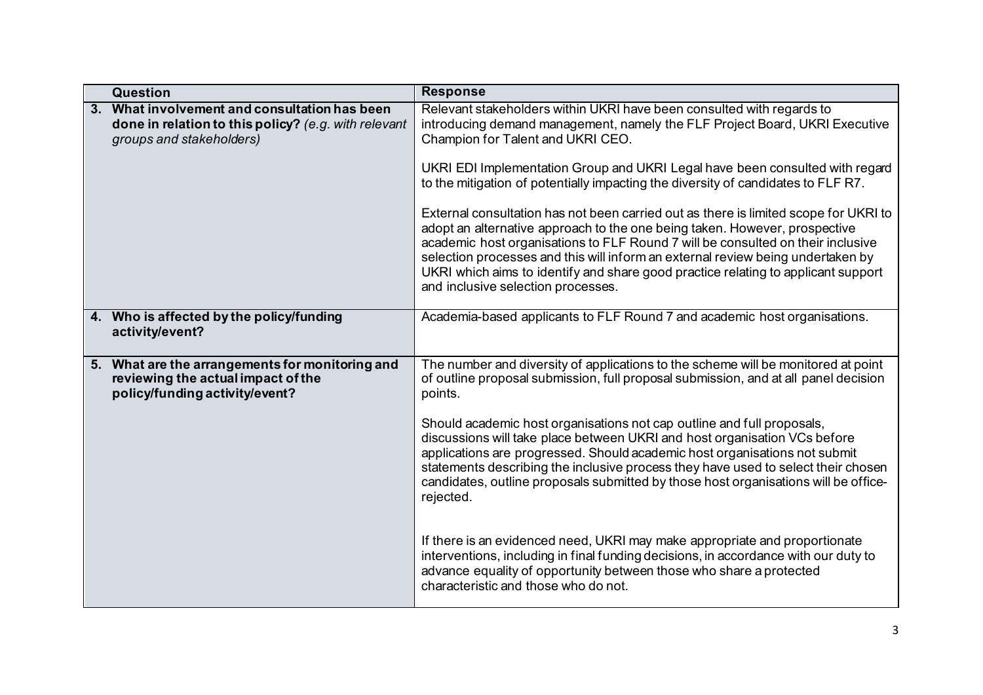|                | <b>Question</b>                                                                                                                | <b>Response</b>                                                                                                                                                                                                                                                                                                                                                                                                                                                     |  |
|----------------|--------------------------------------------------------------------------------------------------------------------------------|---------------------------------------------------------------------------------------------------------------------------------------------------------------------------------------------------------------------------------------------------------------------------------------------------------------------------------------------------------------------------------------------------------------------------------------------------------------------|--|
| 3 <sub>1</sub> | What involvement and consultation has been<br>done in relation to this policy? (e.g. with relevant<br>groups and stakeholders) | Relevant stakeholders within UKRI have been consulted with regards to<br>introducing demand management, namely the FLF Project Board, UKRI Executive<br>Champion for Talent and UKRI CEO.                                                                                                                                                                                                                                                                           |  |
|                |                                                                                                                                | UKRI EDI Implementation Group and UKRI Legal have been consulted with regard<br>to the mitigation of potentially impacting the diversity of candidates to FLF R7.                                                                                                                                                                                                                                                                                                   |  |
|                |                                                                                                                                | External consultation has not been carried out as there is limited scope for UKRI to<br>adopt an alternative approach to the one being taken. However, prospective<br>academic host organisations to FLF Round 7 will be consulted on their inclusive<br>selection processes and this will inform an external review being undertaken by<br>UKRI which aims to identify and share good practice relating to applicant support<br>and inclusive selection processes. |  |
|                | 4. Who is affected by the policy/funding<br>activity/event?                                                                    | Academia-based applicants to FLF Round 7 and academic host organisations.                                                                                                                                                                                                                                                                                                                                                                                           |  |
|                | 5. What are the arrangements for monitoring and<br>reviewing the actual impact of the<br>policy/funding activity/event?        | The number and diversity of applications to the scheme will be monitored at point<br>of outline proposal submission, full proposal submission, and at all panel decision<br>points.                                                                                                                                                                                                                                                                                 |  |
|                |                                                                                                                                | Should academic host organisations not cap outline and full proposals,<br>discussions will take place between UKRI and host organisation VCs before<br>applications are progressed. Should academic host organisations not submit<br>statements describing the inclusive process they have used to select their chosen<br>candidates, outline proposals submitted by those host organisations will be office-<br>rejected.                                          |  |
|                |                                                                                                                                | If there is an evidenced need, UKRI may make appropriate and proportionate<br>interventions, including in final funding decisions, in accordance with our duty to<br>advance equality of opportunity between those who share a protected<br>characteristic and those who do not.                                                                                                                                                                                    |  |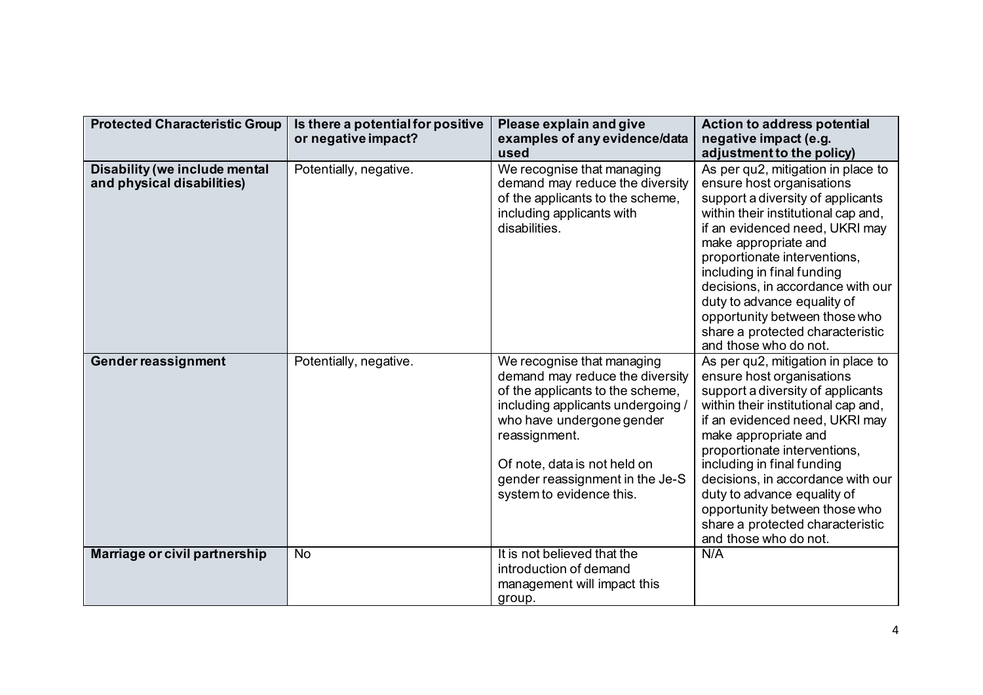| <b>Protected Characteristic Group</b>                       | Is there a potential for positive<br>or negative impact? | Please explain and give<br>examples of any evidence/data<br>used                                                                                                                                                                                                                    | <b>Action to address potential</b><br>negative impact (e.g.<br>adjustment to the policy)                                                                                                                                                                                                                                                                                                                                              |
|-------------------------------------------------------------|----------------------------------------------------------|-------------------------------------------------------------------------------------------------------------------------------------------------------------------------------------------------------------------------------------------------------------------------------------|---------------------------------------------------------------------------------------------------------------------------------------------------------------------------------------------------------------------------------------------------------------------------------------------------------------------------------------------------------------------------------------------------------------------------------------|
| Disability (we include mental<br>and physical disabilities) | Potentially, negative.                                   | We recognise that managing<br>demand may reduce the diversity<br>of the applicants to the scheme,<br>including applicants with<br>disabilities.                                                                                                                                     | As per qu2, mitigation in place to<br>ensure host organisations<br>support a diversity of applicants<br>within their institutional cap and,<br>if an evidenced need, UKRI may<br>make appropriate and<br>proportionate interventions,<br>including in final funding<br>decisions, in accordance with our<br>duty to advance equality of<br>opportunity between those who<br>share a protected characteristic<br>and those who do not. |
| Gender reassignment                                         | Potentially, negative.                                   | We recognise that managing<br>demand may reduce the diversity<br>of the applicants to the scheme,<br>including applicants undergoing /<br>who have undergone gender<br>reassignment.<br>Of note, data is not held on<br>gender reassignment in the Je-S<br>system to evidence this. | As per qu2, mitigation in place to<br>ensure host organisations<br>support a diversity of applicants<br>within their institutional cap and,<br>if an evidenced need, UKRI may<br>make appropriate and<br>proportionate interventions,<br>including in final funding<br>decisions, in accordance with our<br>duty to advance equality of<br>opportunity between those who<br>share a protected characteristic<br>and those who do not. |
| Marriage or civil partnership                               | <b>No</b>                                                | It is not believed that the<br>introduction of demand<br>management will impact this<br>group.                                                                                                                                                                                      | N/A                                                                                                                                                                                                                                                                                                                                                                                                                                   |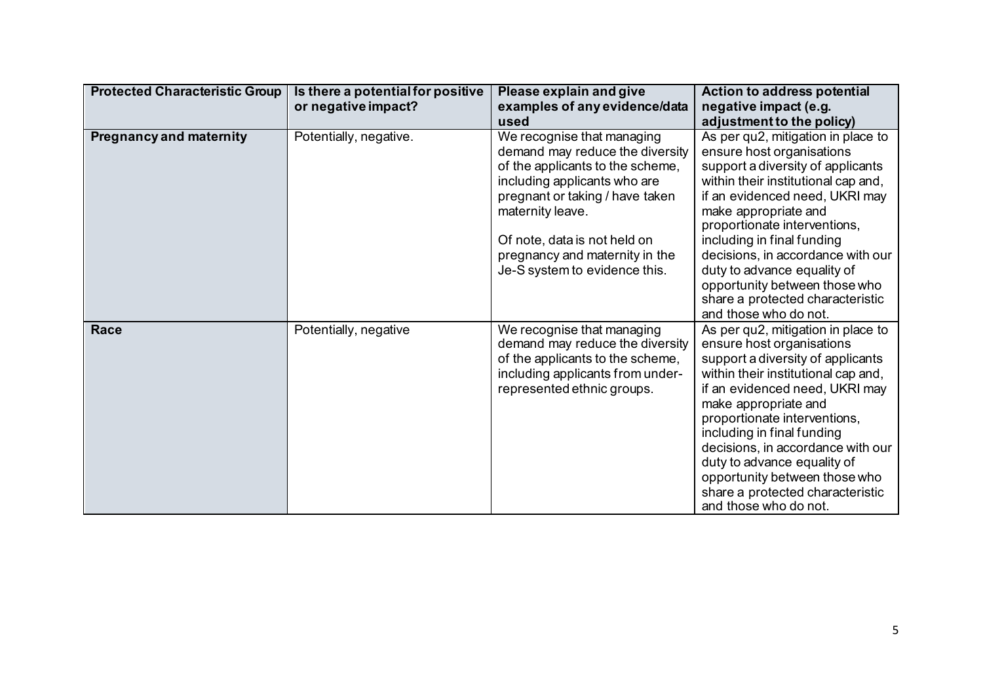| <b>Protected Characteristic Group</b> | Is there a potential for positive | Please explain and give                                          | Action to address potential                                    |
|---------------------------------------|-----------------------------------|------------------------------------------------------------------|----------------------------------------------------------------|
|                                       | or negative impact?               | examples of any evidence/data                                    | negative impact (e.g.                                          |
|                                       |                                   | used                                                             | adjustment to the policy)                                      |
| <b>Pregnancy and maternity</b>        | Potentially, negative.            | We recognise that managing                                       | As per qu2, mitigation in place to                             |
|                                       |                                   | demand may reduce the diversity                                  | ensure host organisations<br>support a diversity of applicants |
|                                       |                                   | of the applicants to the scheme,<br>including applicants who are | within their institutional cap and,                            |
|                                       |                                   | pregnant or taking / have taken                                  | if an evidenced need, UKRI may                                 |
|                                       |                                   | maternity leave.                                                 | make appropriate and                                           |
|                                       |                                   |                                                                  | proportionate interventions,                                   |
|                                       |                                   | Of note, data is not held on                                     | including in final funding                                     |
|                                       |                                   | pregnancy and maternity in the                                   | decisions, in accordance with our                              |
|                                       |                                   | Je-S system to evidence this.                                    | duty to advance equality of                                    |
|                                       |                                   |                                                                  | opportunity between those who                                  |
|                                       |                                   |                                                                  | share a protected characteristic                               |
|                                       |                                   |                                                                  | and those who do not.                                          |
| Race                                  | Potentially, negative             | We recognise that managing                                       | As per qu2, mitigation in place to                             |
|                                       |                                   | demand may reduce the diversity                                  | ensure host organisations                                      |
|                                       |                                   | of the applicants to the scheme,                                 | support a diversity of applicants                              |
|                                       |                                   | including applicants from under-                                 | within their institutional cap and,                            |
|                                       |                                   | represented ethnic groups.                                       | if an evidenced need, UKRI may                                 |
|                                       |                                   |                                                                  | make appropriate and<br>proportionate interventions,           |
|                                       |                                   |                                                                  | including in final funding                                     |
|                                       |                                   |                                                                  | decisions, in accordance with our                              |
|                                       |                                   |                                                                  | duty to advance equality of                                    |
|                                       |                                   |                                                                  | opportunity between those who                                  |
|                                       |                                   |                                                                  | share a protected characteristic                               |
|                                       |                                   |                                                                  | and those who do not.                                          |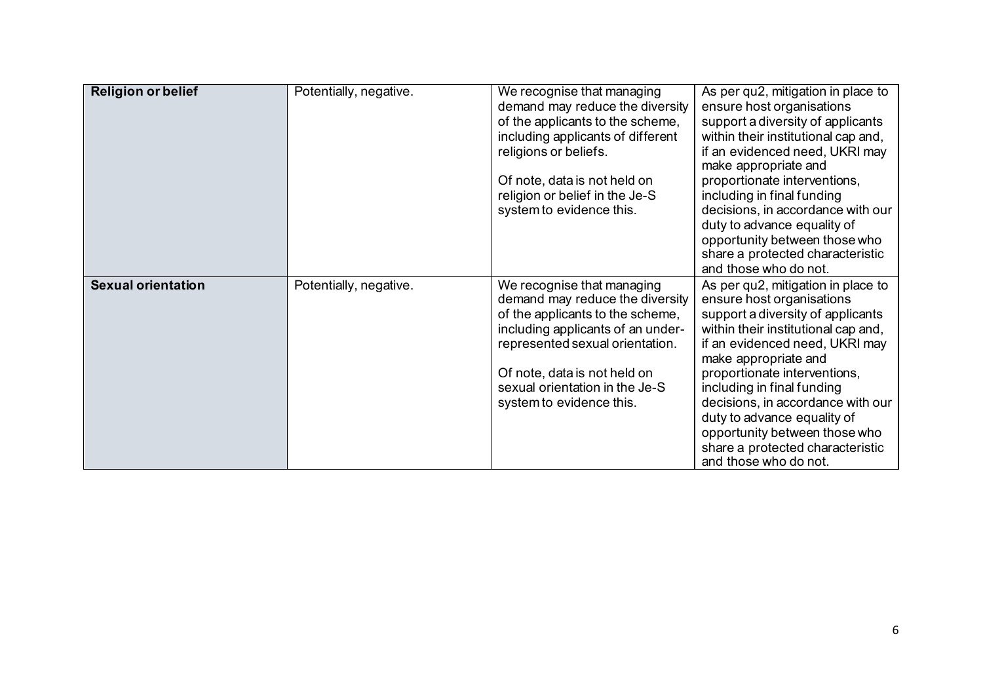| <b>Religion or belief</b> | Potentially, negative. | We recognise that managing<br>demand may reduce the diversity<br>of the applicants to the scheme,<br>including applicants of different<br>religions or beliefs.<br>Of note, data is not held on<br>religion or belief in the Je-S<br>system to evidence this.           | As per qu2, mitigation in place to<br>ensure host organisations<br>support a diversity of applicants<br>within their institutional cap and,<br>if an evidenced need, UKRI may<br>make appropriate and<br>proportionate interventions,<br>including in final funding<br>decisions, in accordance with our<br>duty to advance equality of<br>opportunity between those who<br>share a protected characteristic<br>and those who do not. |
|---------------------------|------------------------|-------------------------------------------------------------------------------------------------------------------------------------------------------------------------------------------------------------------------------------------------------------------------|---------------------------------------------------------------------------------------------------------------------------------------------------------------------------------------------------------------------------------------------------------------------------------------------------------------------------------------------------------------------------------------------------------------------------------------|
| <b>Sexual orientation</b> | Potentially, negative. | We recognise that managing<br>demand may reduce the diversity<br>of the applicants to the scheme,<br>including applicants of an under-<br>represented sexual orientation.<br>Of note, data is not held on<br>sexual orientation in the Je-S<br>system to evidence this. | As per qu2, mitigation in place to<br>ensure host organisations<br>support a diversity of applicants<br>within their institutional cap and,<br>if an evidenced need, UKRI may<br>make appropriate and<br>proportionate interventions,<br>including in final funding<br>decisions, in accordance with our<br>duty to advance equality of<br>opportunity between those who<br>share a protected characteristic<br>and those who do not. |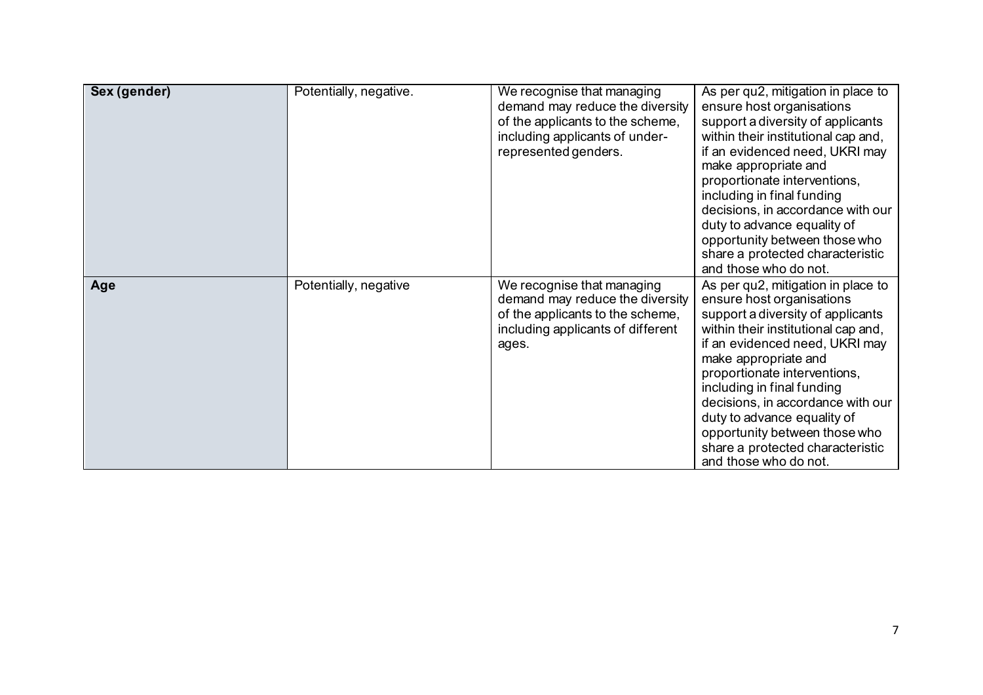| Sex (gender) | Potentially, negative. | We recognise that managing<br>demand may reduce the diversity<br>of the applicants to the scheme,<br>including applicants of under-<br>represented genders. | As per qu2, mitigation in place to<br>ensure host organisations<br>support a diversity of applicants<br>within their institutional cap and,<br>if an evidenced need, UKRI may<br>make appropriate and<br>proportionate interventions,<br>including in final funding<br>decisions, in accordance with our<br>duty to advance equality of<br>opportunity between those who<br>share a protected characteristic<br>and those who do not. |
|--------------|------------------------|-------------------------------------------------------------------------------------------------------------------------------------------------------------|---------------------------------------------------------------------------------------------------------------------------------------------------------------------------------------------------------------------------------------------------------------------------------------------------------------------------------------------------------------------------------------------------------------------------------------|
| Age          | Potentially, negative  | We recognise that managing<br>demand may reduce the diversity<br>of the applicants to the scheme,<br>including applicants of different<br>ages.             | As per qu2, mitigation in place to<br>ensure host organisations<br>support a diversity of applicants<br>within their institutional cap and,<br>if an evidenced need, UKRI may<br>make appropriate and<br>proportionate interventions,<br>including in final funding<br>decisions, in accordance with our<br>duty to advance equality of<br>opportunity between those who<br>share a protected characteristic<br>and those who do not. |